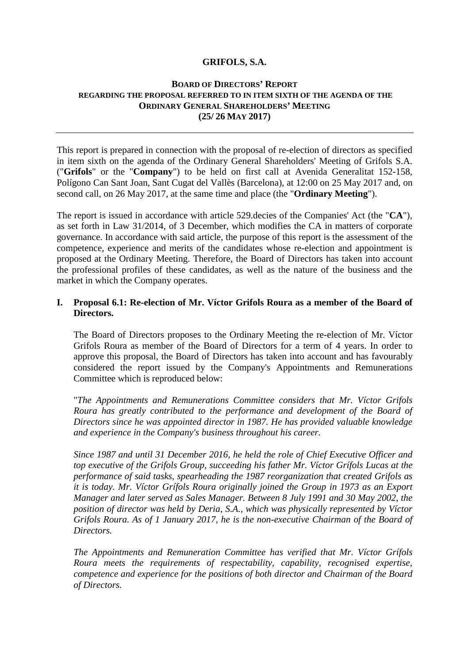## **GRIFOLS, S.A.**

### **BOARD OF DIRECTORS' REPORT REGARDING THE PROPOSAL REFERRED TO IN ITEM SIXTH OF THE AGENDA OF THE ORDINARY GENERAL SHAREHOLDERS' MEETING (25/ 26 MAY 2017)**

This report is prepared in connection with the proposal of re-election of directors as specified in item sixth on the agenda of the Ordinary General Shareholders' Meeting of Grifols S.A. ("**Grifols**" or the "**Company**") to be held on first call at Avenida Generalitat 152-158, Polígono Can Sant Joan, Sant Cugat del Vallès (Barcelona), at 12:00 on 25 May 2017 and, on second call, on 26 May 2017, at the same time and place (the "**Ordinary Meeting**").

The report is issued in accordance with article 529.decies of the Companies' Act (the "**CA**"), as set forth in Law 31/2014, of 3 December, which modifies the CA in matters of corporate governance. In accordance with said article, the purpose of this report is the assessment of the competence, experience and merits of the candidates whose re-election and appointment is proposed at the Ordinary Meeting. Therefore, the Board of Directors has taken into account the professional profiles of these candidates, as well as the nature of the business and the market in which the Company operates.

## **I. Proposal 6.1: Re-election of Mr. Víctor Grifols Roura as a member of the Board of Directors.**

The Board of Directors proposes to the Ordinary Meeting the re-election of Mr. Víctor Grifols Roura as member of the Board of Directors for a term of 4 years. In order to approve this proposal, the Board of Directors has taken into account and has favourably considered the report issued by the Company's Appointments and Remunerations Committee which is reproduced below:

"*The Appointments and Remunerations Committee considers that Mr. Víctor Grifols Roura has greatly contributed to the performance and development of the Board of Directors since he was appointed director in 1987. He has provided valuable knowledge and experience in the Company's business throughout his career.* 

*Since 1987 and until 31 December 2016, he held the role of Chief Executive Officer and top executive of the Grifols Group, succeeding his father Mr. Víctor Grífols Lucas at the performance of said tasks, spearheading the 1987 reorganization that created Grifols as it is today. Mr. Víctor Grífols Roura originally joined the Group in 1973 as an Export Manager and later served as Sales Manager. Between 8 July 1991 and 30 May 2002, the position of director was held by Deria, S.A., which was physically represented by Víctor Grifols Roura. As of 1 January 2017, he is the non-executive Chairman of the Board of Directors.* 

*The Appointments and Remuneration Committee has verified that Mr. Víctor Grífols Roura meets the requirements of respectability, capability, recognised expertise, competence and experience for the positions of both director and Chairman of the Board of Directors.*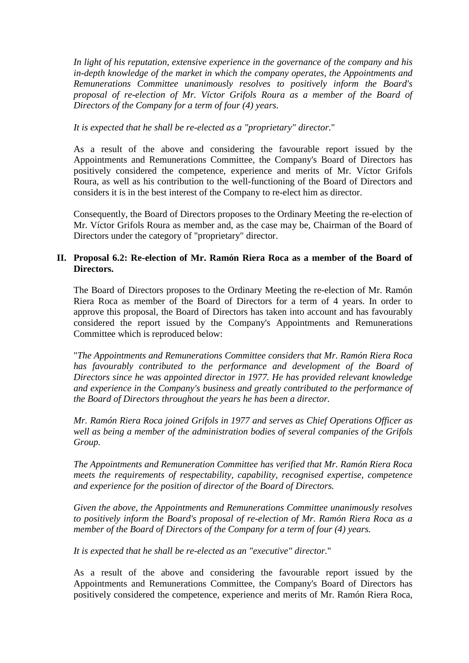*In light of his reputation, extensive experience in the governance of the company and his in-depth knowledge of the market in which the company operates, the Appointments and Remunerations Committee unanimously resolves to positively inform the Board's*  proposal of re-election of Mr. Víctor Grifols Roura as a member of the Board of *Directors of the Company for a term of four (4) years.* 

## *It is expected that he shall be re-elected as a "proprietary" director.*"

As a result of the above and considering the favourable report issued by the Appointments and Remunerations Committee, the Company's Board of Directors has positively considered the competence, experience and merits of Mr. Víctor Grifols Roura, as well as his contribution to the well-functioning of the Board of Directors and considers it is in the best interest of the Company to re-elect him as director.

Consequently, the Board of Directors proposes to the Ordinary Meeting the re-election of Mr. Víctor Grifols Roura as member and, as the case may be, Chairman of the Board of Directors under the category of "proprietary" director.

# **II. Proposal 6.2: Re-election of Mr. Ramón Riera Roca as a member of the Board of Directors.**

The Board of Directors proposes to the Ordinary Meeting the re-election of Mr. Ramón Riera Roca as member of the Board of Directors for a term of 4 years. In order to approve this proposal, the Board of Directors has taken into account and has favourably considered the report issued by the Company's Appointments and Remunerations Committee which is reproduced below:

"*The Appointments and Remunerations Committee considers that Mr. Ramón Riera Roca*  has favourably contributed to the performance and development of the Board of *Directors since he was appointed director in 1977. He has provided relevant knowledge and experience in the Company's business and greatly contributed to the performance of the Board of Directors throughout the years he has been a director.* 

*Mr. Ramón Riera Roca joined Grifols in 1977 and serves as Chief Operations Officer as well as being a member of the administration bodies of several companies of the Grifols Group.* 

*The Appointments and Remuneration Committee has verified that Mr. Ramón Riera Roca meets the requirements of respectability, capability, recognised expertise, competence and experience for the position of director of the Board of Directors.* 

*Given the above, the Appointments and Remunerations Committee unanimously resolves to positively inform the Board's proposal of re-election of Mr. Ramón Riera Roca as a member of the Board of Directors of the Company for a term of four (4) years.* 

*It is expected that he shall be re-elected as an "executive" director.*"

As a result of the above and considering the favourable report issued by the Appointments and Remunerations Committee, the Company's Board of Directors has positively considered the competence, experience and merits of Mr. Ramón Riera Roca,